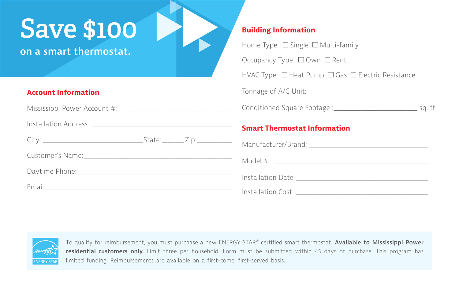## **Save \$100**

**on a smart thermostat.**

## **Account Information**

Mississippi Power Account #: \_\_\_\_\_\_\_\_\_\_\_\_\_\_\_\_\_\_\_\_\_\_\_\_\_\_\_\_\_\_\_\_\_\_\_\_\_\_\_\_\_\_

Installation Address: \_\_\_\_\_\_\_\_\_\_\_\_\_\_\_\_\_\_\_\_\_\_\_\_\_\_\_\_\_\_\_\_\_\_\_\_\_\_\_\_\_\_\_\_\_\_\_\_\_\_\_\_

| $\sim$ .<br>$\sim$ $\sim$<br>71 an 1 |
|--------------------------------------|
|--------------------------------------|

Customer's Name:\_\_\_\_\_\_\_\_\_\_\_\_\_\_\_\_\_\_\_\_\_\_\_\_\_\_\_\_\_\_\_\_\_\_\_\_\_\_\_\_\_\_\_\_\_\_\_\_\_\_\_\_\_\_\_

Daytime Phone: \_\_\_\_\_\_\_\_\_\_\_\_\_\_\_\_\_\_\_\_\_\_\_\_\_\_\_\_\_\_\_\_\_\_\_\_\_\_\_\_\_\_\_\_\_\_\_\_\_\_\_\_\_\_\_\_\_

Email:\_\_\_\_\_\_\_\_\_\_\_\_\_\_\_\_\_\_\_\_\_\_\_\_\_\_\_\_\_\_\_\_\_\_\_\_\_\_\_\_\_\_\_\_\_\_\_\_\_\_\_\_\_\_\_\_\_\_\_\_\_\_\_\_\_\_\_\_\_

## **Building Information**

Home Type:  $\Box$  Single  $\Box$  Multi-family Occupancy Type: □ Own □ Rent HVAC Type: □ Heat Pump □ Gas □ Electric Resistance Tonnage of A/C Unit:\_\_\_\_\_\_\_\_\_\_\_\_\_\_\_\_\_\_\_\_\_\_\_\_\_\_\_\_\_\_\_\_\_\_\_\_\_\_\_\_\_\_\_\_\_ Conditioned Square Footage :\_\_\_\_\_\_\_\_\_\_\_\_\_\_\_\_\_\_\_\_\_\_\_\_\_\_\_\_\_\_\_ sq. ft. **Smart Thermostat Information** Manufacturer/Brand: **Manufacturer/Brand:**  $\blacksquare$ Model  $\#$ :

Installation Date:

Installation Cost: \_\_\_\_\_\_\_\_\_\_\_\_\_\_\_\_\_\_\_\_\_\_\_\_\_\_\_\_\_\_\_\_\_\_\_\_\_\_\_\_\_\_\_\_\_\_\_\_\_



To qualify for reimbursement, you must purchase a new ENERGY STAR® certified smart thermostat. **Available to Mississippi Power residential customers only.** Limit three per household. Form must be submitted within 45 days of purchase. This program has limited funding. Reimbursements are available on a first-come, first-served basis.